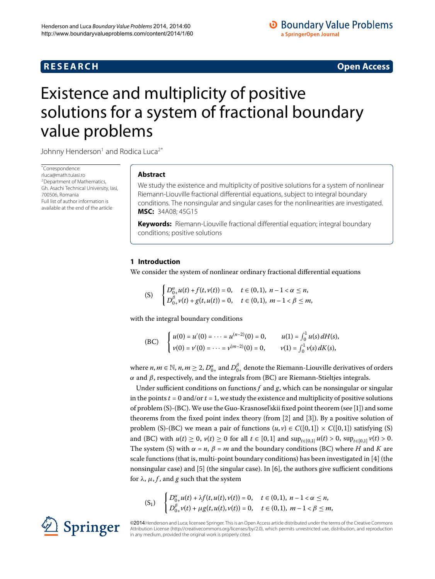# **R E S E A R C H Open Access**

# <span id="page-0-0"></span>Existence and multiplicity of positive solutions for a system of fractional boundary value problems

Johnny Henderson<sup>[1](#page-16-0)</sup> and Rodica Luca<sup>2[\\*](#page-0-0)</sup>

\* Correspondence: [rluca@math.tuiasi.ro](mailto:rluca@math.tuiasi.ro) 2Department of Mathematics, Gh. Asachi Technical University, Iasi, 700506, Romania Full list of author information is available at the end of the article

# **Abstract**

We study the existence and multiplicity of positive solutions for a system of nonlinear Riemann-Liouville fractional differential equations, subject to integral boundary conditions. The nonsingular and singular cases for the nonlinearities are investigated. **MSC:** 34A08; 45G15

**Keywords:** Riemann-Liouville fractional differential equation; integral boundary conditions; positive solutions

## **1 Introduction**

We consider the system of nonlinear ordinary fractional differential equations

(S) 
$$
\begin{cases} D_{0+}^{\alpha}u(t) + f(t,v(t)) = 0, & t \in (0,1), n-1 < \alpha \leq n, \\ D_{0+}^{\beta}v(t) + g(t,u(t)) = 0, & t \in (0,1), m-1 < \beta \leq m, \end{cases}
$$

with the integral boundary conditions

(BC) 
$$
\begin{cases} u(0) = u'(0) = \cdots = u^{(n-2)}(0) = 0, & u(1) = \int_0^1 u(s) dH(s), \\ v(0) = v'(0) = \cdots = v^{(m-2)}(0) = 0, & v(1) = \int_0^1 v(s) dK(s), \end{cases}
$$

where  $n, m \in \mathbb{N}$ ,  $n, m \ge 2$ ,  $D_{0+}^{\alpha}$  and  $D_{0+}^{\beta}$  denote the Riemann-Liouville derivatives of orders *α* and *β*, respectively, and the integrals from (BC) are Riemann-Stieltjes integrals.

Under sufficient conditions on functions  $f$  and  $g$ , which can be nonsingular or singular in the points  $t = 0$  and/or  $t = 1$ , we study the existence and multiplicity of positive solutions of problem (S)-(BC).We use the Guo-Krasnosel'skii fixed point theorem (see [[\]](#page-16-2)) and some theorems from the fixed point index theory (from  $[2]$  $[2]$  and  $[3]$  $[3]$ ). By a positive solution of problem (S)-(BC) we mean a pair of functions  $(u, v) \in C([0, 1]) \times C([0, 1])$  satisfying (S) and (BC) with  $u(t) \ge 0$ ,  $v(t) \ge 0$  for all  $t \in [0,1]$  and  $\sup_{t \in [0,1]} u(t) > 0$ ,  $\sup_{t \in [0,1]} v(t) > 0$ . The system (S) with  $\alpha = n$ ,  $\beta = m$  and the boundary conditions (BC) where *H* and *K* are scale functions (that is, multi-point boundary conditions) has been investigated in  $[4]$  (the nonsingular case) and  $[5]$  $[5]$  (the singular case). In  $[6]$ , the authors give sufficient conditions for  $\lambda$ ,  $\mu$ ,  $f$ , and  $g$  such that the system

$$
(S_1) \quad \begin{cases} D_{0+}^{\alpha}u(t) + \lambda f(t, u(t), v(t)) = 0, & t \in (0,1), \ n-1 < \alpha \le n, \\ D_{0+}^{\beta}v(t) + \mu g(t, u(t), v(t)) = 0, & t \in (0,1), \ m-1 < \beta \le m, \end{cases}
$$

©2014 Henderson and Luca; licensee Springer. This is an Open Access article distributed under the terms of the Creative Commons Attribution License [\(http://creativecommons.org/licenses/by/2.0](http://creativecommons.org/licenses/by/2.0)), which permits unrestricted use, distribution, and reproduction in any medium, provided the original work is properly cited.

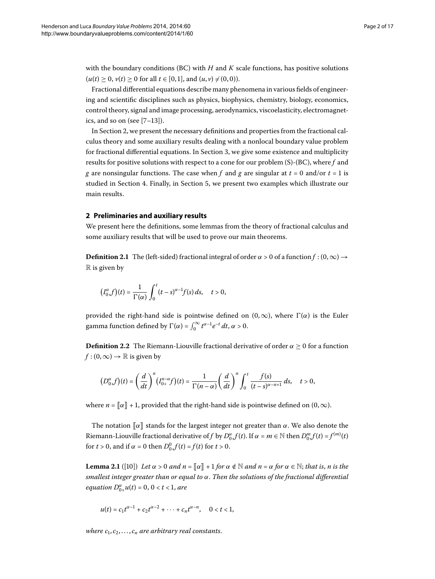with the boundary conditions (BC) with *H* and *K* scale functions, has positive solutions  $(u(t) \geq 0, v(t) \geq 0$  for all  $t \in [0, 1]$ , and  $(u, v) \neq (0, 0)$ .

Fractional differential equations describe many phenomena in various fields of engineering and scientific disciplines such as physics, biophysics, chemistry, biology, economics, control theory, signal and image processing, aerodynamics, viscoelasticity, electromagnetics, and so on (see  $[7-13]$  $[7-13]$ ).

<span id="page-1-0"></span>In Section 2, we present the necessary definitions and properties from the fractional calculus theory and some auxiliary results dealing with a nonlocal boundary value problem for fractional differential equations. In Section 3[,](#page-5-0) we give some existence and multiplicity results for positive solutions with respect to a cone for our problem (S)-(BC), where *f* and *g* are nonsingular functions. The case when *f* and *g* are singular at  $t = 0$  and/or  $t = 1$  is studied in Section 4. Finally[,](#page-14-0) in Section 5, we present two examples which illustrate our main results.

### **2 Preliminaries and auxiliary results**

We present here the definitions, some lemmas from the theory of fractional calculus and some auxiliary results that will be used to prove our main theorems.

**Definition 2.1** The (left-sided) fractional integral of order  $\alpha > 0$  of a function  $f$  :  $(0, \infty) \rightarrow$  $\mathbb R$  is given by

$$
(I_{0+}^{\alpha}f)(t)=\frac{1}{\Gamma(\alpha)}\int_0^t (t-s)^{\alpha-1}f(s)\,ds,\quad t>0,
$$

provided the right-hand side is pointwise defined on  $(0, \infty)$ , where  $\Gamma(\alpha)$  is the Euler gamma function defined by  $\Gamma(\alpha) = \int_0^\infty t^{\alpha-1} e^{-t} dt$ ,  $\alpha > 0$ .

**Definition 2.2** The Riemann-Liouville fractional derivative of order  $\alpha \ge 0$  for a function  $f$  : (0,  $\infty$ )  $\rightarrow \mathbb{R}$  is given by

$$
\left(D_{0+}^{\alpha}f\right)(t) = \left(\frac{d}{dt}\right)^n \left(I_{0+}^{n-\alpha}f\right)(t) = \frac{1}{\Gamma(n-\alpha)} \left(\frac{d}{dt}\right)^n \int_0^t \frac{f(s)}{(t-s)^{\alpha-n+1}} ds, \quad t > 0,
$$

where  $n = \llbracket \alpha \rrbracket + 1$ , provided that the right-hand side is pointwise defined on  $(0, \infty)$ .

The notation  $\llbracket \alpha \rrbracket$  stands for the largest integer not greater than  $\alpha$ . We also denote the Riemann-Liouville fractional derivative of *f* by  $D_{0+}^{\alpha}f(t)$ . If  $\alpha = m \in \mathbb{N}$  then  $D_{0+}^m f(t) = f^{(m)}(t)$ for *t* > 0, and if  $\alpha = 0$  then  $D_{0+}^0 f(t) = f(t)$  for  $t > 0$ .

**Lemma 2.1** ([\[](#page-16-10)10]) Let  $\alpha > 0$  and  $n = \lceil \alpha \rceil + 1$  for  $\alpha \notin \mathbb{N}$  and  $n = \alpha$  for  $\alpha \in \mathbb{N}$ ; that is, *n* is the *smallest integer greater than or equal to α*. *Then the solutions of the fractional differential*  $equation D_{0+}^{\alpha}u(t) = 0, 0 < t < 1, are$ 

$$
u(t) = c_1 t^{\alpha - 1} + c_2 t^{\alpha - 2} + \cdots + c_n t^{\alpha - n}, \quad 0 < t < 1,
$$

*where*  $c_1, c_2, \ldots, c_n$  *are arbitrary real constants.*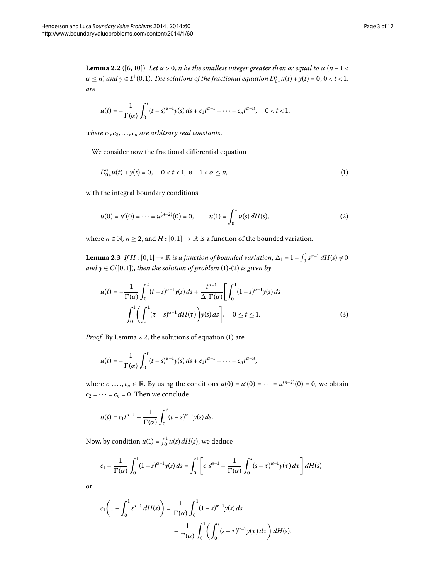<span id="page-2-2"></span>*are*

<span id="page-2-0"></span>
$$
u(t) = -\frac{1}{\Gamma(\alpha)} \int_0^t (t-s)^{\alpha-1} y(s) \, ds + c_1 t^{\alpha-1} + \dots + c_n t^{\alpha-n}, \quad 0 < t < 1,
$$

*where*  $c_1, c_2, \ldots, c_n$  *are arbitrary real constants.* 

We consider now the fractional differential equation

<span id="page-2-1"></span>
$$
D_{0+}^{\alpha}u(t) + y(t) = 0, \quad 0 < t < 1, \ n-1 < \alpha \le n,
$$
 (1)

<span id="page-2-4"></span>with the integral boundary conditions

$$
u(0) = u'(0) = \dots = u^{(n-2)}(0) = 0, \qquad u(1) = \int_0^1 u(s) \, dH(s), \tag{2}
$$

<span id="page-2-3"></span>where  $n \in \mathbb{N}$ ,  $n \ge 2$ , and  $H : [0,1] \to \mathbb{R}$  is a function of the bounded variation.

**Lemma 2.3** If  $H : [0, 1] \to \mathbb{R}$  is a function of bounded variation,  $\Delta_1 = 1 - \int_0^1 s^{\alpha - 1} dH(s) \neq 0$ *and*  $y \in C([0, 1])$  $y \in C([0, 1])$ , *then the solution of problem* (1)-(2) *is given by* 

$$
u(t) = -\frac{1}{\Gamma(\alpha)} \int_0^t (t-s)^{\alpha-1} y(s) ds + \frac{t^{\alpha-1}}{\Delta_1 \Gamma(\alpha)} \left[ \int_0^1 (1-s)^{\alpha-1} y(s) ds - \int_0^1 \left( \int_s^1 (\tau-s)^{\alpha-1} dH(\tau) \right) y(s) ds \right], \quad 0 \le t \le 1.
$$
 (3)

*Proof* By Lemma 2.2, the solutions of equation (1[\)](#page-2-0) are

$$
u(t)=-\frac{1}{\Gamma(\alpha)}\int_0^t (t-s)^{\alpha-1}y(s)\,ds+c_1t^{\alpha-1}+\cdots+c_nt^{\alpha-n},
$$

where  $c_1, \ldots, c_n \in \mathbb{R}$ . By using the conditions  $u(0) = u'(0) = \cdots = u^{(n-2)}(0) = 0$ , we obtain  $c_2 = \cdots = c_n = 0$ . Then we conclude

$$
u(t) = c_1 t^{\alpha-1} - \frac{1}{\Gamma(\alpha)} \int_0^t (t-s)^{\alpha-1} y(s) ds.
$$

Now, by condition  $u(1) = \int_0^1 u(s) dH(s)$ , we deduce

$$
c_1 - \frac{1}{\Gamma(\alpha)} \int_0^1 (1-s)^{\alpha-1} y(s) ds = \int_0^1 \left[ c_1 s^{\alpha-1} - \frac{1}{\Gamma(\alpha)} \int_0^s (s-\tau)^{\alpha-1} y(\tau) d\tau \right] dH(s)
$$

or

$$
c_1\left(1-\int_0^1 s^{\alpha-1} dH(s)\right)=\frac{1}{\Gamma(\alpha)}\int_0^1 (1-s)^{\alpha-1}y(s) ds
$$
  

$$
-\frac{1}{\Gamma(\alpha)}\int_0^1 \left(\int_0^s (s-\tau)^{\alpha-1}y(\tau) d\tau\right) dH(s).
$$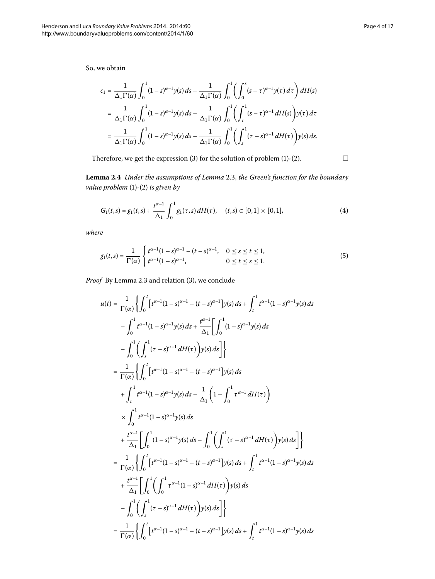So, we obtain

<span id="page-3-2"></span>
$$
c_1 = \frac{1}{\Delta_1 \Gamma(\alpha)} \int_0^1 (1-s)^{\alpha-1} y(s) ds - \frac{1}{\Delta_1 \Gamma(\alpha)} \int_0^1 \left( \int_0^s (s-\tau)^{\alpha-1} y(\tau) d\tau \right) dH(s)
$$
  

$$
= \frac{1}{\Delta_1 \Gamma(\alpha)} \int_0^1 (1-s)^{\alpha-1} y(s) ds - \frac{1}{\Delta_1 \Gamma(\alpha)} \int_0^1 \left( \int_\tau^1 (s-\tau)^{\alpha-1} dH(s) \right) y(\tau) d\tau
$$
  

$$
= \frac{1}{\Delta_1 \Gamma(\alpha)} \int_0^1 (1-s)^{\alpha-1} y(s) ds - \frac{1}{\Delta_1 \Gamma(\alpha)} \int_0^1 \left( \int_s^1 (\tau-s)^{\alpha-1} dH(\tau) \right) y(s) ds.
$$

Therefore, we get the expression  $(3)$  $(3)$  for the solution of problem  $(1)-(2)$  $(1)-(2)$ .

<span id="page-3-1"></span><span id="page-3-0"></span> $\Box$ 

Lemma 2.4 Under the assumptions of Lemma 2.3, the Green's function for the boundary *value problem* [\(](#page-2-1)1)-(2) *is given by* 

$$
G_1(t,s) = g_1(t,s) + \frac{t^{\alpha - 1}}{\Delta_1} \int_0^1 g_1(\tau,s) dH(\tau), \quad (t,s) \in [0,1] \times [0,1], \tag{4}
$$

*where*

$$
g_1(t,s) = \frac{1}{\Gamma(\alpha)} \begin{cases} t^{\alpha-1}(1-s)^{\alpha-1} - (t-s)^{\alpha-1}, & 0 \le s \le t \le 1, \\ t^{\alpha-1}(1-s)^{\alpha-1}, & 0 \le t \le s \le 1. \end{cases}
$$
(5)

*Proof* By Lemma 2[.](#page-2-4)3 and relation (3[\)](#page-2-3), we conclude

$$
u(t) = \frac{1}{\Gamma(\alpha)} \Biggl\{ \int_{0}^{t} \Biggl[ t^{\alpha-1} (1-s)^{\alpha-1} - (t-s)^{\alpha-1} \Biggr] y(s) \, ds + \int_{t}^{1} t^{\alpha-1} (1-s)^{\alpha-1} y(s) \, ds \Biggr\} - \int_{0}^{1} t^{\alpha-1} (1-s)^{\alpha-1} y(s) \, ds + \frac{t^{\alpha-1}}{\Delta_{1}} \Biggl[ \int_{0}^{1} (1-s)^{\alpha-1} y(s) \, ds \Biggr] - \int_{0}^{1} \Biggl\{ \int_{s}^{1} (t-s)^{\alpha-1} \, dH(\tau) \Biggr) y(s) \, ds \Biggr] \Biggr\} = \frac{1}{\Gamma(\alpha)} \Biggl\{ \int_{0}^{t} \Biggl[ t^{\alpha-1} (1-s)^{\alpha-1} - (t-s)^{\alpha-1} \Biggr] y(s) \, ds \Biggr\} + \int_{t}^{1} t^{\alpha-1} (1-s)^{\alpha-1} y(s) \, ds - \frac{1}{\Delta_{1}} \Biggl( 1 - \int_{0}^{1} t^{\alpha-1} \, dH(\tau) \Biggr) \times \int_{0}^{1} t^{\alpha-1} (1-s)^{\alpha-1} y(s) \, ds - \int_{0}^{1} \Biggl( \int_{s}^{1} (t-s)^{\alpha-1} \, dH(\tau) \Biggr) y(s) \, ds \Biggr] \Biggr\} = \frac{1}{\Gamma(\alpha)} \Biggl\{ \int_{0}^{t} \Biggl[ t^{\alpha-1} (1-s)^{\alpha-1} - (t-s)^{\alpha-1} \Biggr] y(s) \, ds + \int_{t}^{1} t^{\alpha-1} (1-s)^{\alpha-1} y(s) \, ds \Biggr] + \frac{t^{\alpha-1}}{\Delta_{1}} \Biggl[ \int_{0}^{1} \Biggl( \int_{0}^{1} t^{\alpha-1} (1-s)^{\alpha-1} \, dH(\tau) \Biggr) y(s) \, ds \Biggr] - \int_{0}^{1} \Biggl\{ \int_{s}^{1} (t-s)^{\alpha-1} \, dH(\tau) \Biggr) y(s) \, ds \Biggr] \Biggr\} = \frac{1}{\Gamma(\alpha)} \Biggl\{ \int_{0}^{t} \Biggl[ t^{\alpha-1} (1-s
$$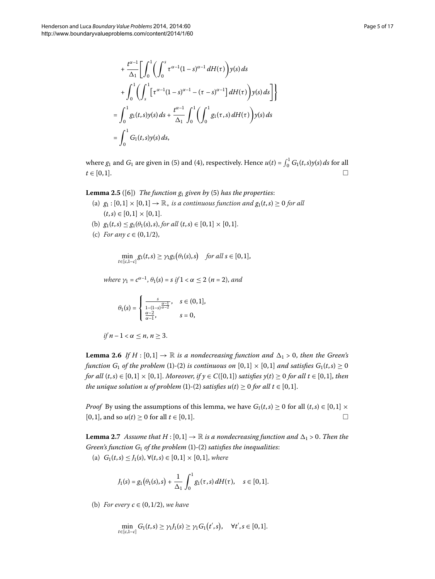$$
+\frac{t^{\alpha-1}}{\Delta_1} \Biggl[ \int_0^1 \Biggl( \int_0^s \tau^{\alpha-1} (1-s)^{\alpha-1} dH(\tau) \Biggr) y(s) ds + \int_0^1 \Biggl( \int_s^1 \Biggl[ \tau^{\alpha-1} (1-s)^{\alpha-1} - (\tau - s)^{\alpha-1} \Biggr] dH(\tau) \Biggr) y(s) ds \Biggr] \Biggr\}= \int_0^1 g_1(t,s) y(s) ds + \frac{t^{\alpha-1}}{\Delta_1} \int_0^1 \Biggl( \int_0^1 g_1(\tau,s) dH(\tau) \Biggr) y(s) ds= \int_0^1 G_1(t,s) y(s) ds,
$$

where  $g_1$  and  $G_1$  are given in (5[\)](#page-3-0) and (4), respectively. Hence  $u(t) = \int_0^1 G_1(t,s)y(s) ds$  for all  $t \in [0,1].$ 

**Lemma 2.5** ([6]) *The function*  $g_1$  *given by* (5) *has the properties*:

- (a)  $g_1 : [0, 1] \times [0, 1] \rightarrow \mathbb{R}_+$  *is a continuous function and*  $g_1(t, s) \ge 0$  *for all*  $(t,s) \in [0,1] \times [0,1].$
- (b)  $g_1(t,s) \leq g_1(\theta_1(s),s)$ , *for all*  $(t,s) \in [0,1] \times [0,1]$ .
- (c) *For any*  $c \in (0, 1/2)$ ,

$$
\min_{t\in[c,1-c]} g_1(t,s) \geq \gamma_1 g_1(\theta_1(s),s) \quad \text{for all } s\in[0,1],
$$

<span id="page-4-0"></span>*where*  $\gamma_1 = c^{\alpha-1}, \theta_1(s) = s$  *if*  $1 < \alpha \leq 2$  (*n* = 2), *and* 

$$
\theta_1(s)=\left\{\begin{array}{ll} \frac{s}{1-(1-s)^{\frac{\alpha-1}{\alpha-2}}}, & s\in(0,1],\\ \frac{\alpha-2}{\alpha-1}, & s=0,\end{array}\right.
$$

$$
if n-1 < \alpha \leq n, n \geq 3.
$$

<span id="page-4-1"></span>**Lemma 2.6** If  $H : [0, 1] \to \mathbb{R}$  is a nondecreasing function and  $\Delta_1 > 0$ , then the Green's *function*  $G_1$  *of the problem* (1[\)](#page-2-1)-(2) *is continuous on*  $[0,1] \times [0,1]$  *and satisfies*  $G_1(t,s) \ge 0$ *for all*  $(t,s) \in [0,1] \times [0,1]$ *. Moreover, if*  $\gamma \in C([0,1])$  *satisfies*  $\gamma(t) \geq 0$  *for all*  $t \in [0,1]$ *, then the unique solution u of problem* (1[\)](#page-2-1)-(2) *satisfies u(t)*  $\geq$  0 *for all t*  $\in$  [0, 1].

*Proof* By using the assumptions of this lemma, we have  $G_1(t,s) \ge 0$  for all  $(t,s) \in [0,1] \times$  $[0, 1]$ , and so  $u(t) \ge 0$  for all  $t \in [0, 1]$ .  $\Box$ 

**Lemma 2.7** Assume that  $H : [0,1] \to \mathbb{R}$  is a nondecreasing function and  $\Delta_1 > 0$ . Then the *Green's function G*<sup>1</sup> *of the problem* (1[\)](#page-2-1)-(2) *satisfies the inequalities*:

(a)  $G_1(t,s) \leq J_1(s), \forall (t,s) \in [0,1] \times [0,1],$  where

$$
J_1(s) = g_1(\theta_1(s), s) + \frac{1}{\Delta_1} \int_0^1 g_1(\tau, s) dH(\tau), \quad s \in [0, 1].
$$

(b) *For every*  $c \in (0, 1/2)$ *, we have* 

$$
\min_{t \in [c,1-c]} G_1(t,s) \geq \gamma_1 f_1(s) \geq \gamma_1 G_1(t',s), \quad \forall t', s \in [0,1].
$$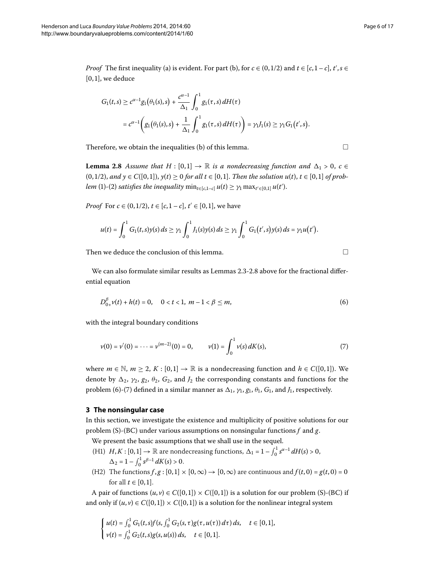*Proof* The first inequality (a) is evident. For part (b), for  $c \in (0, 1/2)$  and  $t \in [c, 1-c]$ ,  $t', s \in$  $[0, 1]$ , we deduce

<span id="page-5-1"></span>
$$
G_1(t,s) \ge c^{\alpha-1} g_1(\theta_1(s),s) + \frac{c^{\alpha-1}}{\Delta_1} \int_0^1 g_1(\tau,s) dH(\tau)
$$
  
=  $c^{\alpha-1} \left( g_1(\theta_1(s),s) + \frac{1}{\Delta_1} \int_0^1 g_1(\tau,s) dH(\tau) \right) = \gamma_1 J_1(s) \ge \gamma_1 G_1(t',s).$ 

Therefore, we obtain the inequalities (b) of this lemma.  $\Box$ 

**Lemma 2.8** Assume that  $H : [0, 1] \rightarrow \mathbb{R}$  is a nondecreasing function and  $\Delta_1 > 0$ ,  $c \in$  $(0, 1/2)$ , and  $y \in C([0, 1])$ ,  $y(t) \ge 0$  for all  $t \in [0, 1]$ . Then the solution  $u(t)$ ,  $t \in [0, 1]$  of prob*lem* (1[\)](#page-2-1)-(2) *satisfies the inequality*  $\min_{t \in [c,1-c]} u(t) \geq \gamma_1 \max_{t' \in [0,1]} u(t').$ 

*Proof* For  $c \in (0, 1/2)$ ,  $t \in [c, 1-c]$ ,  $t' \in [0, 1]$ , we have

$$
u(t) = \int_0^1 G_1(t,s)y(s) ds \ge \gamma_1 \int_0^1 J_1(s)y(s) ds \ge \gamma_1 \int_0^1 G_1(t',s)y(s) ds = \gamma_1 u(t').
$$

Then we deduce the conclusion of this lemma.  $\Box$ 

<span id="page-5-3"></span><span id="page-5-2"></span>

We can also formulate similar results as Lemmas 2[.](#page-5-1)3-2.8 above for the fractional differential equation

$$
D_{0+}^{\beta}v(t) + h(t) = 0, \quad 0 < t < 1, \ m - 1 < \beta \le m,
$$
\n(6)

with the integral boundary conditions

$$
\nu(0) = \nu'(0) = \dots = \nu^{(m-2)}(0) = 0, \qquad \nu(1) = \int_0^1 \nu(s) \, dK(s), \tag{7}
$$

<span id="page-5-0"></span>where  $m \in \mathbb{N}$ ,  $m \ge 2$ ,  $K : [0, 1] \to \mathbb{R}$  is a nondecreasing function and  $h \in C([0, 1])$ . We denote by  $\Delta_2$ ,  $\gamma_2$ ,  $g_2$ ,  $\theta_2$ ,  $G_2$ , and  $J_2$  the corresponding constants and functions for the problem (6[\)](#page-5-3)-(7) defined in a similar manner as  $\Delta_1$ ,  $\gamma_1$ ,  $g_1$ ,  $\theta_1$ ,  $G_1$ , and  $J_1$ , respectively.

# **3 The nonsingular case**

In this section, we investigate the existence and multiplicity of positive solutions for our problem (S)-(BC) under various assumptions on nonsingular functions *f* and *g*.

We present the basic assumptions that we shall use in the sequel.

- (H1)  $H, K : [0, 1] \to \mathbb{R}$  are nondecreasing functions,  $\Delta_1 = 1 \int_0^1 s^{\alpha 1} dH(s) > 0$ ,  $\Delta_2 = 1 - \int_0^1 s^{\beta - 1} dK(s) > 0.$
- (H2) The functions  $f, g : [0, 1] \times [0, \infty) \rightarrow [0, \infty)$  are continuous and  $f(t, 0) = g(t, 0) = 0$ for all  $t \in [0, 1]$ .

A pair of functions  $(u, v) \in C([0, 1]) \times C([0, 1])$  is a solution for our problem (S)-(BC) if and only if  $(u, v) \in C([0, 1]) \times C([0, 1])$  is a solution for the nonlinear integral system

$$
\begin{cases}\n u(t) = \int_0^1 G_1(t,s)f(s,\int_0^1 G_2(s,\tau)g(\tau,u(\tau))\,d\tau)\,ds, & t \in [0,1], \\
v(t) = \int_0^1 G_2(t,s)g(s,u(s))\,ds, & t \in [0,1].\n\end{cases}
$$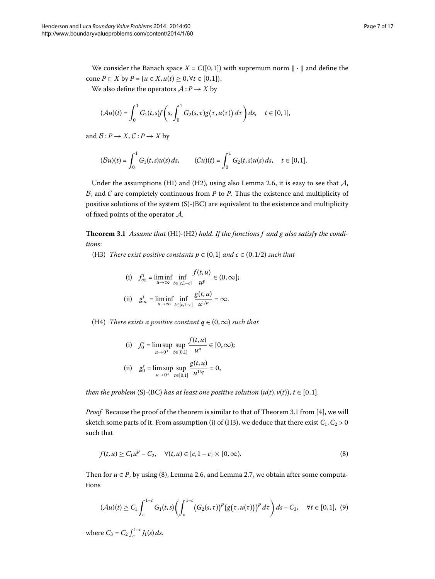We also define the operators  $A : P \to X$  by

$$
(\mathcal{A}u)(t)=\int_0^1 G_1(t,s)f\left(s,\int_0^1 G_2(s,\tau)g\big(\tau,u(\tau)\big)\,d\tau\right)ds,\quad t\in[0,1],
$$

and  $B: P \to X$ ,  $C: P \to X$  by

$$
(\mathcal{B}u)(t) = \int_0^1 G_1(t,s)u(s) \, ds, \qquad (\mathcal{C}u)(t) = \int_0^1 G_2(t,s)u(s) \, ds, \quad t \in [0,1].
$$

<span id="page-6-2"></span>Under the assumptions (H1) and (H2), using also Lemma 2[.](#page-4-0)6, it is easy to see that  $\mathcal{A}$ ,  $B$ , and  $C$  are completely continuous from  $P$  to  $P$ . Thus the existence and multiplicity of positive solutions of the system (S)-(BC) are equivalent to the existence and multiplicity of fixed points of the operator A.

Theorem 3.1 Assume that (H1)-(H2) hold. If the functions f and g also satisfy the condi*tions*:

(H3) *There exist positive constants*  $p \in (0,1]$  *and*  $c \in (0,1/2)$  *such that* 

(i) 
$$
f_{\infty}^i = \liminf_{u \to \infty} \inf_{t \in [c, 1-c]} \frac{f(t, u)}{u^p} \in (0, \infty];
$$
  
\n(ii)  $g_{\infty}^i = \liminf_{u \to \infty} \inf_{t \in [c, 1-c]} \frac{g(t, u)}{u^{1/p}} = \infty.$ 

(H4) *There exists a positive constant*  $q \in (0, \infty)$  *such that* 

<span id="page-6-0"></span>(i) 
$$
f_0^s = \limsup_{u \to 0^+} \sup_{t \in [0,1]} \frac{f(t, u)}{u^q} \in [0, \infty);
$$
  
\n(ii)  $g_0^s = \limsup_{u \to 0^+} \sup_{t \in [0,1]} \frac{g(t, u)}{u^{1/q}} = 0,$ 

*then the problem* (S)-(BC) *has at least one positive solution*  $(u(t), v(t))$ ,  $t \in [0, 1]$ .

*Proof* Because the proof of the theorem is similar to that of Theorem 3.1 from [4], we will sketch some parts of it. From assumption (i) of (H3), we deduce that there exist  $C_1$ ,  $C_2$  > 0 such that

<span id="page-6-1"></span>
$$
f(t, u) \ge C_1 u^p - C_2, \quad \forall (t, u) \in [c, 1 - c] \times [0, \infty).
$$
 (8)

Then for  $u \in P$ , by using (8[\)](#page-6-0), Lemma 2[.](#page-4-1)6, and Lemma 2.7, we obtain after some computations

$$
(\mathcal{A}u)(t) \geq C_1 \int_{c}^{1-c} G_1(t,s) \bigg( \int_{c}^{1-c} (G_2(s,\tau))^p (g(\tau,u(\tau)))^p d\tau \bigg) ds - C_3, \quad \forall t \in [0,1], \ (9)
$$

where  $C_3 = C_2 \int_c^{1-c} J_1(s) ds$ .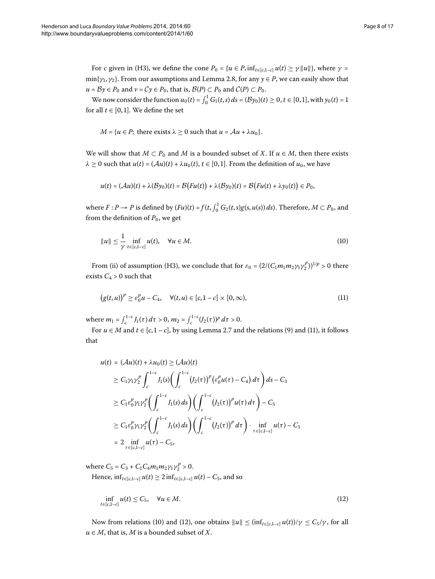For *c* given in (H3), we define the cone  $P_0 = \{u \in P, inf_{t \in [c, 1-c]} u(t) \ge \gamma ||u||\}$ , where  $\gamma =$  $\min\{\gamma_1, \gamma_2\}$ [.](#page-5-1) From our assumptions and Lemma 2.8, for any  $\gamma \in P$ , we can easily show that *u* =  $By$  ∈  $P_0$  and  $v$  =  $Cy$  ∈  $P_0$ , that is,  $B(P)$  ⊂  $P_0$  and  $C(P)$  ⊂  $P_0$ .

We now consider the function  $u_0(t) = \int_0^1 G_1(t, s) ds = (\mathcal{B}y_0)(t) \ge 0, t \in [0, 1],$  with  $y_0(t) = 1$ for all  $t \in [0, 1]$ . We define the set

$$
M = {u \in P}
$$
; there exists  $\lambda \ge 0$  such that  $u = Au + \lambda u_0$ .

We will show that  $M \subset P_0$  and  $M$  is a bounded subset of  $X$ . If  $u \in M$ , then there exists  $\lambda \geq 0$  such that  $u(t) = (\mathcal{A}u)(t) + \lambda u_0(t), t \in [0,1]$ . From the definition of  $u_0$ , we have

<span id="page-7-1"></span>
$$
u(t) = (\mathcal{A}u)(t) + \lambda(\mathcal{B}y_0)(t) = \mathcal{B}\big(Fu(t)\big) + \lambda(\mathcal{B}y_0)(t) = \mathcal{B}\big(Fu(t) + \lambda y_0(t)\big) \in P_0,
$$

where  $F: P \to P$  is defined by  $(Fu)(t) = f(t, \int_0^1 G_2(t, s)g(s, u(s)) ds)$ . Therefore,  $M \subset P_0$ , and from the definition of  $P_0$ , we get

<span id="page-7-0"></span>
$$
||u|| \leq \frac{1}{\gamma} \inf_{t \in [c, 1-c]} u(t), \quad \forall u \in M.
$$
\n(10)

From (ii) of assumption (H3), we conclude that for  $\varepsilon_0 = (2/(C_1 m_1 m_2 \gamma_1 \gamma_2^p))^{1/p} > 0$  there exists  $C_4 > 0$  such that

$$
\big(g(t,u)\big)^p \ge \varepsilon_0^p u - C_4, \quad \forall (t,u) \in [c,1-c] \times [0,\infty),\tag{11}
$$

where  $m_1 = \int_c^{1-c} J_1(\tau) d\tau > 0$ ,  $m_2 = \int_c^{1-c} (J_2(\tau))^p d\tau > 0$ .

For  $u \in M$  and  $t \in [c, 1-c]$ , by using Lemma 2[.](#page-4-1)7 and the relations [\(](#page-6-1)9) and (11), it follows that

$$
u(t) = (\mathcal{A}u)(t) + \lambda u_0(t) \ge (\mathcal{A}u)(t)
$$
  
\n
$$
\ge C_1 \gamma_1 \gamma_2^p \int_c^{1-c} J_1(s) \bigg( \int_c^{1-c} (J_2(\tau))^p ( \varepsilon_0^p u(\tau) - C_4) d\tau \bigg) ds - C_3
$$
  
\n
$$
\ge C_1 \varepsilon_0^p \gamma_1 \gamma_2^p \bigg( \int_c^{1-c} J_1(s) ds \bigg) \bigg( \int_c^{1-c} (J_2(\tau))^p u(\tau) d\tau \bigg) - C_5
$$
  
\n
$$
\ge C_1 \varepsilon_0^p \gamma_1 \gamma_2^p \bigg( \int_c^{1-c} J_1(s) ds \bigg) \bigg( \int_c^{1-c} (J_2(\tau))^p d\tau \bigg) \cdot \inf_{\tau \in [c, 1-c]} u(\tau) - C_5
$$
  
\n
$$
= 2 \inf_{\tau \in [c, 1-c]} u(\tau) - C_5,
$$

where  $C_5 = C_3 + C_1 C_4 m_1 m_2 \gamma_1 \gamma_2^p > 0$ .

Hence,  $\inf_{t \in [c,1-c]} u(t) \geq 2 \inf_{t \in [c,1-c]} u(t) - C_5$ , and so

<span id="page-7-2"></span>
$$
\inf_{t \in [c, 1-c]} u(t) \le C_5, \quad \forall u \in M.
$$
\n
$$
(12)
$$

Now from relations (10) and (12), one obtains  $||u|| \le (\inf_{t \in [c,1-c]} u(t))/\gamma \le C_5/\gamma$ , for all  $u \in M$ , that is, *M* is a bounded subset of *X*.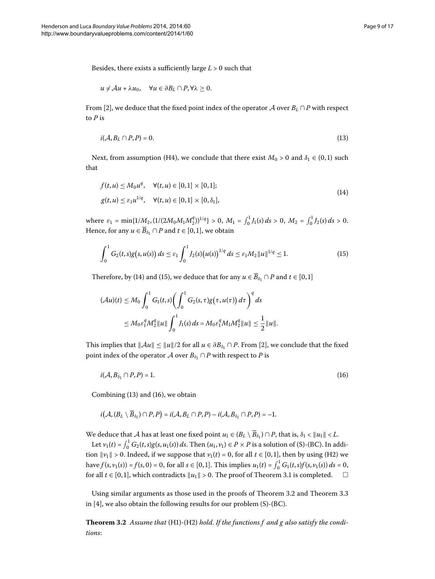Besides, there exists a sufficiently large  $L > 0$  such that

<span id="page-8-2"></span>
$$
u \neq Au + \lambda u_0, \quad \forall u \in \partial B_L \cap P, \forall \lambda \geq 0.
$$

From [2[\]](#page-16-3), we deduce that the fixed point index of the operator A over  $B_L \cap P$  with respect to *P* is

<span id="page-8-0"></span>
$$
i(\mathcal{A}, B_L \cap P, P) = 0. \tag{13}
$$

Next, from assumption (H4), we conclude that there exist  $M_0 > 0$  and  $\delta_1 \in (0,1)$  such that

<span id="page-8-1"></span>
$$
f(t, u) \le M_0 u^q, \quad \forall (t, u) \in [0, 1] \times [0, 1];
$$
  
 
$$
g(t, u) \le \varepsilon_1 u^{1/q}, \quad \forall (t, u) \in [0, 1] \times [0, \delta_1],
$$
 (14)

where  $\varepsilon_1 = \min\{1/M_2, (1/(2M_0M_1M_2^q))^{1/q}\} > 0$ ,  $M_1 = \int_0^1 J_1(s) ds > 0$ ,  $M_2 = \int_0^1 J_2(s) ds > 0$ . Hence, for any  $u \in \overline{B}_{\delta_1} \cap P$  and  $t \in [0,1]$ , we obtain

$$
\int_0^1 G_2(t,s)g(s,u(s))\,ds \leq \varepsilon_1 \int_0^1 J_2(s)\big(u(s)\big)^{1/q}\,ds \leq \varepsilon_1 M_2 \|u\|^{1/q} \leq 1. \tag{15}
$$

Therefore, by (14[\)](#page-8-1) and (15), we deduce that for any  $u \in \overline{B}_{\delta_1} \cap P$  and  $t \in [0,1]$ 

<span id="page-8-3"></span>
$$
(\mathcal{A}u)(t) \leq M_0 \int_0^1 G_1(t,s) \bigg( \int_0^1 G_2(s,\tau) g(\tau,u(\tau)) d\tau \bigg)^q ds
$$
  
 
$$
\leq M_0 \varepsilon_1^q M_2^q \|u\| \int_0^1 J_1(s) ds = M_0 \varepsilon_1^q M_1 M_2^q \|u\| \leq \frac{1}{2} \|u\|.
$$

This implies that  $||Au|| \le ||u||/2$  for all  $u \in \partial B_{\delta_1} \cap P$ . From [2[\]](#page-16-3), we conclude that the fixed point index of the operator  $\mathcal A$  over  $B_{\delta_1} \cap P$  with respect to P is

$$
i(\mathcal{A}, B_{\delta_1} \cap P, P) = 1. \tag{16}
$$

Combining  $(13)$  $(13)$  and  $(16)$ , we obtain

$$
i(\mathcal{A}, (B_L \setminus \overline{B}_{\delta_1}) \cap P, P) = i(\mathcal{A}, B_L \cap P, P) - i(\mathcal{A}, B_{\delta_1} \cap P, P) = -1.
$$

We deduce that A has at least one fixed point  $u_1 \in (B_L \setminus B_{\delta_1}) \cap P$ , that is,  $\delta_1 < ||u_1|| < L$ .

Let  $v_1(t) = \int_0^1 G_2(t, s) g(s, u_1(s)) ds$ . Then  $(u_1, v_1) \in P \times P$  is a solution of (S)-(BC). In addition  $||v_1|| > 0$ . Indeed, if we suppose that  $v_1(t) = 0$ , for all  $t \in [0, 1]$ , then by using (H2) we  $h$ ave  $f(s, v_1(s)) = f(s, 0) = 0$ , for all  $s \in [0, 1]$ . This implies  $u_1(t) = \int_0^1 G_1(t, s) f(s, v_1(s)) ds = 0$ , for all  $t \in [0,1]$ , which contradicts  $||u_1|| > 0$ [.](#page-6-2) The proof of Theorem 3.1 is completed.  $\Box$  $\Box$ 

Using similar arguments as those used in the proofs of Theorem 3.2 and Theorem 3.3 in  $[4]$  $[4]$ , we also obtain the following results for our problem (S)-(BC).

**Theorem 3.2** Assume that (H1)-(H2) hold. If the functions f and g also satisfy the condi*tions*: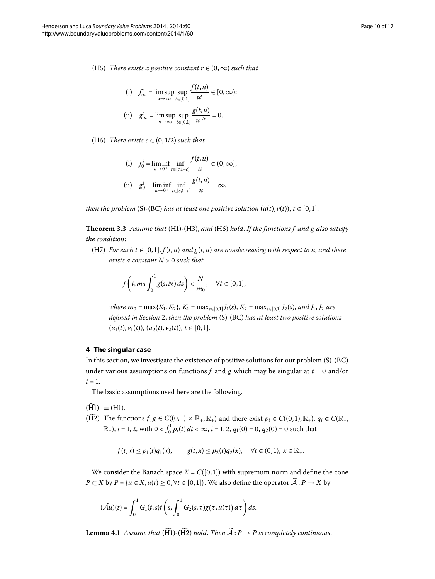(H5) *There exists a positive constant*  $r \in (0, \infty)$  *such that* 

(i) 
$$
f_{\infty}^s = \limsup_{u \to \infty} \sup_{t \in [0,1]} \frac{f(t, u)}{u^r} \in [0, \infty);
$$
  
\n(ii)  $g_{\infty}^s = \limsup_{u \to \infty} \sup_{t \in [0,1]} \frac{g(t, u)}{u^{1/r}} = 0.$ 

<span id="page-9-1"></span>(H6) *There exists*  $c \in (0, 1/2)$  *such that* 

(i) 
$$
f_0^i = \liminf_{u \to 0^+} \inf_{t \in [c, 1-c]} \frac{f(t, u)}{u} \in (0, \infty];
$$
  
\n(ii)  $g_0^i = \liminf_{u \to 0^+} \inf_{t \in [c, 1-c]} \frac{g(t, u)}{u} = \infty,$ 

*then the problem* (S)-(BC) *has at least one positive solution*  $(u(t), v(t)), t \in [0, 1].$ 

**Theorem .** *Assume that* (H)*-*(H), *and* (H) *hold*. *If the functions f and g also satisfy the condition*:

<span id="page-9-0"></span>(H7) *For each*  $t \in [0, 1]$ ,  $f(t, u)$  *and*  $g(t, u)$  *are nondecreasing with respect to*  $u$ , *and there exists a constant N* > *such that*

$$
f\left(t,m_0\int_0^1 g(s,N)\,ds\right)<\frac{N}{m_0},\quad\forall t\in[0,1],
$$

*where*  $m_0 = \max\{K_1, K_2\}$ ,  $K_1 = \max_{s \in [0,1]} J_1(s)$ ,  $K_2 = \max_{s \in [0,1]} J_2(s)$ , and  $J_1$ ,  $J_2$  are *defined in Section 2, then the problem* (S)-(BC) *has at least two positive solutions*  $(u_1(t), v_1(t)), (u_2(t), v_2(t)), t \in [0, 1].$ 

# **4 The singular case**

In this section, we investigate the existence of positive solutions for our problem (S)-(BC) under various assumptions on functions  $f$  and  $g$  which may be singular at  $t = 0$  and/or  $t = 1$ .

The basic assumptions used here are the following.

 $(H1) \equiv (H1).$ 

( $\widetilde{H2}$ ) The functions  $f, g \in C((0,1) \times \mathbb{R}_+, \mathbb{R}_+)$  and there exist  $p_i \in C((0,1), \mathbb{R}_+, \mathbb{R}_+)$ ,  $q_i \in C(\mathbb{R}_+, \mathbb{R}_+)$  $(\mathbb{R}_+), i = 1, 2$ , with  $0 < \int_0^1 p_i(t) dt < \infty$ ,  $i = 1, 2$ ,  $q_1(0) = 0$ ,  $q_2(0) = 0$  such that

$$
f(t,x) \leq p_1(t)q_1(x), \qquad g(t,x) \leq p_2(t)q_2(x), \quad \forall t \in (0,1), \ x \in \mathbb{R}_+.
$$

We consider the Banach space  $X = C([0, 1])$  with supremum norm and define the cone *P* ⊂ *X* by *P* = {*u* ∈ *X*, *u*(*t*) ≥ 0, ∀*t* ∈ [0,1]}. We also define the operator  $\widetilde{A}: P \to X$  by

$$
(\widetilde{\mathcal{A}}u)(t)=\int_0^1 G_1(t,s)f\left(s,\int_0^1 G_2(s,\tau)g\big(\tau,u(\tau)\big)\,d\tau\right)ds.
$$

**Lemma 4.1** Assume that  $(\widetilde{H1})$ - $(\widetilde{H2})$  hold. Then  $\widetilde{A}: P \rightarrow P$  is completely continuous.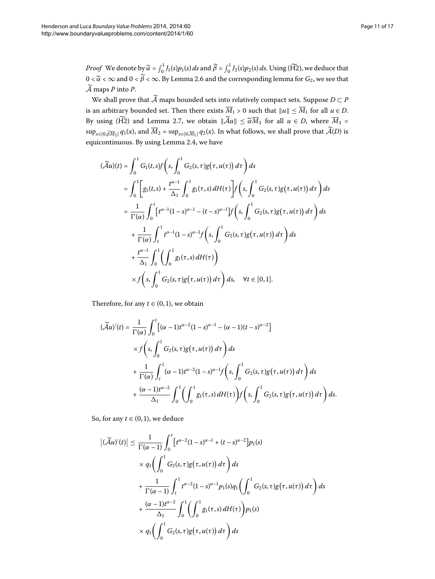*Proof* We denote by  $\widetilde{\alpha} = \int_0^1 J_1(s) p_1(s) ds$  and  $\widetilde{\beta} = \int_0^1 J_2(s) p_2(s) ds$ . Using (H2), we deduce that  $0 < \widetilde{\alpha} < \infty$  and  $0 < \beta < \infty$ [.](#page-4-0) By Lemma 2.6 and the corresponding lemma for  $G_2$ , we see that  $\widetilde{A}$  maps *P* into *P*.

We shall prove that  $\widetilde{A}$  maps bounded sets into relatively compact sets. Suppose  $D \subset P$ is an arbitrary bounded set. Then there exists  $M_1 > 0$  such that  $||u|| \le M_1$  for all  $u \in D$ . By using (H2) and Lemma 2.7, we obtain  $\|\mathcal{A}u\| \le \widetilde{\alpha}M_3$  for all  $u \in D$ , where  $M_3 =$  $\sup_{x\in[0,\widetilde{\beta M}_2]}q_1(x)$ , and  $M_2=\sup_{x\in[0,\overline{M}_1]}q_2(x)$ . In what follows, we shall prove that  $\mathcal{A}(D)$  is equicontinuous[.](#page-3-2) By using Lemma 2.4, we have

$$
(\widetilde{\mathcal{A}}u)(t) = \int_0^1 G_1(t,s)f\left(s, \int_0^1 G_2(s,\tau)g(\tau,u(\tau)) d\tau\right) ds
$$
  
\n
$$
= \int_0^1 \left[ g_1(t,s) + \frac{t^{\alpha-1}}{\Delta_1} \int_0^1 g_1(\tau,s) dH(\tau) \right] f\left(s, \int_0^1 G_2(s,\tau)g(\tau,u(\tau)) d\tau\right) ds
$$
  
\n
$$
= \frac{1}{\Gamma(\alpha)} \int_0^t \left[ t^{\alpha-1} (1-s)^{\alpha-1} - (t-s)^{\alpha-1} \right] f\left(s, \int_0^1 G_2(s,\tau)g(\tau,u(\tau)) d\tau\right) ds
$$
  
\n
$$
+ \frac{1}{\Gamma(\alpha)} \int_t^1 t^{\alpha-1} (1-s)^{\alpha-1} f\left(s, \int_0^1 G_2(s,\tau)g(\tau,u(\tau)) d\tau\right) ds
$$
  
\n
$$
+ \frac{t^{\alpha-1}}{\Delta_1} \int_0^1 \left( \int_0^1 g_1(\tau,s) dH(\tau) \right)
$$
  
\n
$$
\times f\left(s, \int_0^1 G_2(s,\tau)g(\tau,u(\tau)) d\tau\right) ds, \quad \forall t \in [0,1].
$$

Therefore, for any  $t \in (0, 1)$ , we obtain

$$
\begin{split} (\widetilde{\mathcal{A}}u)'(t) &= \frac{1}{\Gamma(\alpha)} \int_0^t \left[ (\alpha - 1)t^{\alpha - 2} (1 - s)^{\alpha - 1} - (\alpha - 1)(t - s)^{\alpha - 2} \right] \\ &\times f \left( s, \int_0^1 G_2(s, \tau) g(\tau, u(\tau)) \, d\tau \right) ds \\ &+ \frac{1}{\Gamma(\alpha)} \int_t^1 (\alpha - 1)t^{\alpha - 2} (1 - s)^{\alpha - 1} f \left( s, \int_0^1 G_2(s, \tau) g(\tau, u(\tau)) \, d\tau \right) ds \\ &+ \frac{(\alpha - 1)t^{\alpha - 2}}{\Delta_1} \int_0^1 \left( \int_0^1 g_1(\tau, s) \, dH(\tau) \right) f \left( s, \int_0^1 G_2(s, \tau) g(\tau, u(\tau)) \, d\tau \right) ds. \end{split}
$$

<span id="page-10-0"></span>So, for any  $t \in (0, 1)$ , we deduce

$$
\left| (\widetilde{\mathcal{A}}u)'(t) \right| \leq \frac{1}{\Gamma(\alpha-1)} \int_0^t \left[ t^{\alpha-2} (1-s)^{\alpha-1} + (t-s)^{\alpha-2} \right] p_1(s)
$$
  
 
$$
\times q_1 \left( \int_0^1 G_2(s, \tau) g(\tau, u(\tau)) d\tau \right) ds
$$
  
 
$$
+ \frac{1}{\Gamma(\alpha-1)} \int_t^1 t^{\alpha-2} (1-s)^{\alpha-1} p_1(s) q_1 \left( \int_0^1 G_2(s, \tau) g(\tau, u(\tau)) d\tau \right) ds
$$
  
 
$$
+ \frac{(\alpha-1)t^{\alpha-2}}{\Delta_1} \int_0^1 \left( \int_0^1 g_1(\tau, s) dH(\tau) \right) p_1(s)
$$
  
 
$$
\times q_1 \left( \int_0^1 G_2(s, \tau) g(\tau, u(\tau)) d\tau \right) ds
$$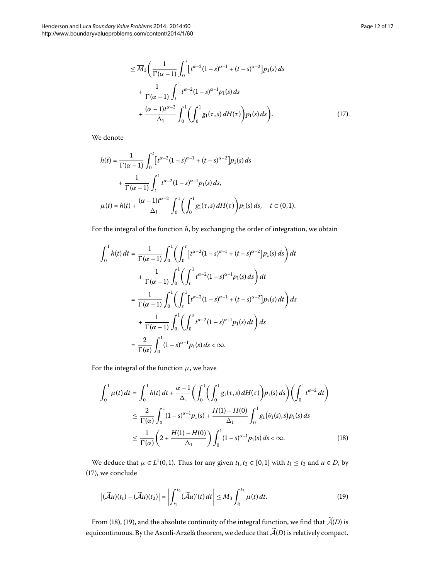$$
\leq \overline{M}_{3} \bigg( \frac{1}{\Gamma(\alpha - 1)} \int_{0}^{t} \left[ t^{\alpha - 2} (1 - s)^{\alpha - 1} + (t - s)^{\alpha - 2} \right] p_{1}(s) ds \n+ \frac{1}{\Gamma(\alpha - 1)} \int_{t}^{1} t^{\alpha - 2} (1 - s)^{\alpha - 1} p_{1}(s) ds \n+ \frac{(\alpha - 1)t^{\alpha - 2}}{\Delta_{1}} \int_{0}^{1} \bigg( \int_{0}^{1} g_{1}(\tau, s) dH(\tau) \bigg) p_{1}(s) ds \bigg).
$$
\n(17)

We denote

$$
h(t) = \frac{1}{\Gamma(\alpha - 1)} \int_0^t \left[ t^{\alpha - 2} (1 - s)^{\alpha - 1} + (t - s)^{\alpha - 2} \right] p_1(s) ds
$$
  
+ 
$$
\frac{1}{\Gamma(\alpha - 1)} \int_t^1 t^{\alpha - 2} (1 - s)^{\alpha - 1} p_1(s) ds,
$$
  

$$
\mu(t) = h(t) + \frac{(\alpha - 1)t^{\alpha - 2}}{\Delta_1} \int_0^1 \left( \int_0^1 g_1(\tau, s) dH(\tau) \right) p_1(s) ds, \quad t \in (0, 1).
$$

For the integral of the function *h*, by exchanging the order of integration, we obtain

$$
\int_0^1 h(t) dt = \frac{1}{\Gamma(\alpha - 1)} \int_0^1 \left( \int_0^t \left[ t^{\alpha - 2} (1 - s)^{\alpha - 1} + (t - s)^{\alpha - 2} \right] p_1(s) ds \right) dt
$$
  
+ 
$$
\frac{1}{\Gamma(\alpha - 1)} \int_0^1 \left( \int_t^1 t^{\alpha - 2} (1 - s)^{\alpha - 1} p_1(s) ds \right) dt
$$
  
= 
$$
\frac{1}{\Gamma(\alpha - 1)} \int_0^1 \left( \int_s^1 \left[ t^{\alpha - 2} (1 - s)^{\alpha - 1} + (t - s)^{\alpha - 2} \right] p_1(s) dt \right) ds
$$
  
+ 
$$
\frac{1}{\Gamma(\alpha - 1)} \int_0^1 \left( \int_0^s t^{\alpha - 2} (1 - s)^{\alpha - 1} p_1(s) dt \right) ds
$$
  
= 
$$
\frac{2}{\Gamma(\alpha)} \int_0^1 (1 - s)^{\alpha - 1} p_1(s) ds < \infty.
$$

<span id="page-11-0"></span>For the integral of the function  $\mu$ , we have

<span id="page-11-1"></span>
$$
\int_0^1 \mu(t) dt = \int_0^1 h(t) dt + \frac{\alpha - 1}{\Delta_1} \left( \int_0^1 \left( \int_0^1 g_1(\tau, s) dH(\tau) \right) p_1(s) ds \right) \left( \int_0^1 t^{\alpha - 2} dt \right)
$$
  
\n
$$
\leq \frac{2}{\Gamma(\alpha)} \int_0^1 (1 - s)^{\alpha - 1} p_1(s) + \frac{H(1) - H(0)}{\Delta_1} \int_0^1 g_1(\theta_1(s), s) p_1(s) ds
$$
  
\n
$$
\leq \frac{1}{\Gamma(\alpha)} \left( 2 + \frac{H(1) - H(0)}{\Delta_1} \right) \int_0^1 (1 - s)^{\alpha - 1} p_1(s) ds < \infty.
$$
 (18)

We deduce that  $\mu \in L^1(0, 1)$ . Thus for any given  $t_1, t_2 \in [0, 1]$  with  $t_1 \le t_2$  and  $u \in D$ , by  $(17)$  $(17)$ , we conclude

$$
\left|(\widetilde{\mathcal{A}}u)(t_1)-(\widetilde{\mathcal{A}}u)(t_2)\right|=\left|\int_{t_1}^{t_2}(\widetilde{\mathcal{A}}u)'(t)\,dt\right|\leq \overline{M}_3\int_{t_1}^{t_2}\mu(t)\,dt.\tag{19}
$$

From (18[\)](#page-11-0), [\(](#page-11-1)19), and the absolute continuity of the integral function, we find that  $\widetilde{\mathcal{A}}(D)$  is equicontinuous. By the Ascoli-Arzelà theorem, we deduce that  $\widetilde{\mathcal{A}}(D)$  is relatively compact.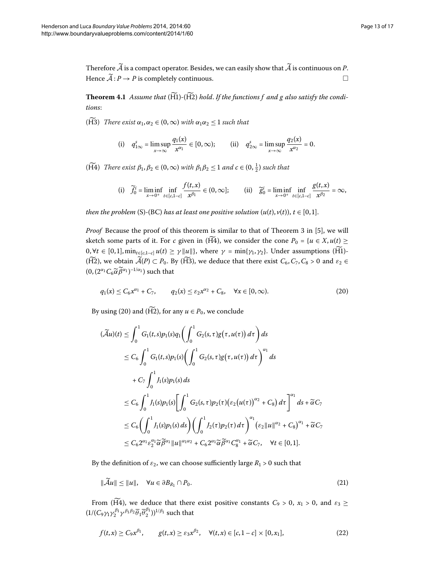<span id="page-12-3"></span>Therefore  $\widetilde{A}$  is a compact operator. Besides, we can easily show that  $\widetilde{A}$  is continuous on *P*. Hence  $\widetilde{A}: P \to P$  is completely continuous.  $\Box$ 

**Theorem 4.1** Assume that  $(\widetilde{H1})$ - $(\widetilde{H2})$  hold. If the functions f and g also satisfy the condi*tions*:

(H<sub>3</sub>) *There exist*  $\alpha_1, \alpha_2 \in (0, \infty)$  *with*  $\alpha_1 \alpha_2 \leq 1$  *such that* 

(i) 
$$
q_{1\infty}^s = \limsup_{x \to \infty} \frac{q_1(x)}{x^{\alpha_1}} \in [0, \infty);
$$
 (ii)  $q_{2\infty}^s = \limsup_{x \to \infty} \frac{q_2(x)}{x^{\alpha_2}} = 0.$ 

(H<sup>4</sup>) *There exist*  $\beta_1, \beta_2 \in (0, \infty)$  *with*  $\beta_1 \beta_2 \leq 1$  *and*  $c \in (0, \frac{1}{2})$  *such that* 

<span id="page-12-0"></span>(i) 
$$
\widetilde{f}_0^i = \liminf_{x \to 0^+} \inf_{t \in [c, 1 - c]} \frac{f(t, x)}{x^{\beta_1}} \in (0, \infty];
$$
 (ii)  $\widetilde{g}_0^i = \liminf_{x \to 0^+} \inf_{t \in [c, 1 - c]} \frac{g(t, x)}{x^{\beta_2}} = \infty$ ,

*then the problem* (S)-(BC) *has at least one positive solution*  $(u(t), v(t))$ ,  $t \in [0, 1]$ .

*Proof* Because the proof of this theorem is similar to that of Theorem 3 in [5[\]](#page-16-6), we will sketch some parts of it. For *c* given in ( $\widetilde{H4}$ ), we consider the cone  $P_0 = \{u \in X, u(t) \geq 0\}$  $0, \forall t \in [0, 1], \min_{t \in [c, 1-c]} u(t) \geq \gamma ||u||$ , where  $\gamma = \min\{\gamma_1, \gamma_2\}$ . Under assumptions (H1)-(H2), we obtain  $\widetilde{A}(P) \subset P_0$ . By (H3), we deduce that there exist  $C_6$ ,  $C_7$ ,  $C_8 > 0$  and  $\varepsilon_2 \in$  $(0, (2^{\alpha_1}C_6\widetilde{\alpha}\widetilde{\beta}^{\alpha_1})^{-1/\alpha_1})$  such that

$$
q_1(x) \le C_6 x^{\alpha_1} + C_7, \qquad q_2(x) \le \varepsilon_2 x^{\alpha_2} + C_8, \quad \forall x \in [0, \infty).
$$
 (20)

By using (20[\)](#page-12-0) and ( $\widetilde{H2}$ ), for any  $u \in P_0$ , we conclude

$$
(\tilde{\mathcal{A}}u)(t) \leq \int_0^1 G_1(t,s)p_1(s)q_1\left(\int_0^1 G_2(s,\tau)g(\tau,u(\tau)) d\tau\right) ds
$$
  
\n
$$
\leq C_6 \int_0^1 G_1(t,s)p_1(s)\left(\int_0^1 G_2(s,\tau)g(\tau,u(\tau)) d\tau\right)^{\alpha_1} ds
$$
  
\n
$$
+ C_7 \int_0^1 J_1(s)p_1(s) ds
$$
  
\n
$$
\leq C_6 \int_0^1 J_1(s)p_1(s)\left[\int_0^1 G_2(s,\tau)p_2(\tau)(\epsilon_2(u(\tau))^{\alpha_2} + C_8) d\tau\right]^{\alpha_1} ds + \tilde{\alpha}C_7
$$
  
\n
$$
\leq C_6 \left(\int_0^1 J_1(s)p_1(s) ds\right)\left(\int_0^1 J_2(\tau)p_2(\tau) d\tau\right)^{\alpha_1} (\epsilon_2 ||u||^{\alpha_2} + C_8)^{\alpha_1} + \tilde{\alpha}C_7
$$
  
\n
$$
\leq C_6 2^{\alpha_1} \epsilon_2^{\alpha_1} \tilde{\alpha} \tilde{\beta}^{\alpha_1} ||u||^{\alpha_1 \alpha_2} + C_6 2^{\alpha_1} \tilde{\alpha} \tilde{\beta}^{\alpha_1} C_8^{\alpha_1} + \tilde{\alpha}C_7, \quad \forall t \in [0, 1].
$$

By the definition of  $\varepsilon_2$ , we can choose sufficiently large  $R_1 > 0$  such that

<span id="page-12-2"></span><span id="page-12-1"></span>
$$
\|\widetilde{\mathcal{A}}u\| \le \|u\|, \quad \forall u \in \partial B_{R_1} \cap P_0. \tag{21}
$$

From ( $\widetilde{H4}$ ), we deduce that there exist positive constants  $C_9 > 0$ ,  $x_1 > 0$ , and  $\varepsilon_3 \geq$  $(1/(C_9\gamma_1\gamma_2^{\beta_1}\gamma^{\beta_1\beta_2}\overline{\theta}_1\overline{\theta}_2^{\beta_1}))^{1/\beta_1}$  such that

$$
f(t,x) \ge C_9 x^{\beta_1}, \qquad g(t,x) \ge \varepsilon_3 x^{\beta_2}, \quad \forall (t,x) \in [c,1-c] \times [0,x_1], \tag{22}
$$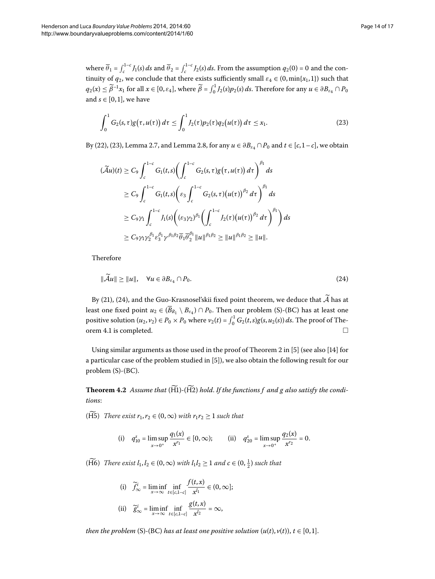where  $\overline{\theta}_1 = \int_c^{1-c} J_1(s) ds$  and  $\overline{\theta}_2 = \int_c^{1-c} J_2(s) ds$ . From the assumption  $q_2(0) = 0$  and the continuity of  $q_2$ , we conclude that there exists sufficiently small  $\varepsilon_4 \in (0, \min\{x_1, 1\})$  such that  $q_2(x) \le \widetilde{\beta}^{-1}x_1$  for all  $x \in [0, \varepsilon_4]$ , where  $\widetilde{\beta} = \int_0^1 J_2(s)p_2(s) ds$ . Therefore for any  $u \in \partial B_{\varepsilon_4} \cap P_0$ and  $s \in [0, 1]$ , we have

<span id="page-13-0"></span>
$$
\int_0^1 G_2(s,\tau)g(\tau,u(\tau))\,d\tau\leq \int_0^1 J_2(\tau)p_2(\tau)q_2(u(\tau))\,d\tau\leq x_1. \tag{23}
$$

By [\(](#page-12-1)22[\)](#page-13-0), (23), Lemma 2[.](#page-5-1)7, and Lemma 2.8, for any  $u \in \partial B_{\varepsilon_4} \cap P_0$  and  $t \in [c, 1-c]$ , we obtain

<span id="page-13-1"></span>
$$
(\widetilde{\mathcal{A}}u)(t) \geq C_9 \int_c^{1-c} G_1(t,s) \bigg( \int_c^{1-c} G_2(s,\tau) g(\tau, u(\tau)) d\tau \bigg)^{\beta_1} ds
$$
  
\n
$$
\geq C_9 \int_c^{1-c} G_1(t,s) \bigg( \varepsilon_3 \int_c^{1-c} G_2(s,\tau) (u(\tau)) ^{\beta_2} d\tau \bigg)^{\beta_1} ds
$$
  
\n
$$
\geq C_9 \gamma_1 \int_c^{1-c} J_1(s) \bigg( (\varepsilon_3 \gamma_2)^{\beta_1} \bigg( \int_c^{1-c} J_2(\tau) (u(\tau)) ^{\beta_2} d\tau \bigg)^{\beta_1} \bigg) ds
$$
  
\n
$$
\geq C_9 \gamma_1 \gamma_2^{\beta_1} \varepsilon_3^{\beta_1} \gamma^{\beta_1 \beta_2} \overline{\theta_1} \overline{\theta_2^{\beta_1}} ||u||^{\beta_1 \beta_2} \geq ||u||^{\beta_1 \beta_2} \geq ||u||.
$$

Therefore

$$
\|\widetilde{\mathcal{A}}u\| \ge \|u\|, \quad \forall u \in \partial B_{\varepsilon_4} \cap P_0. \tag{24}
$$

By (21[\)](#page-12-2), (24), and the Guo-Krasnosel'skii fixed point theorem, we deduce that  $\widetilde{\mathcal{A}}$  has at least one fixed point  $u_2 \in (\overline{B}_{R_1} \setminus B_{\varepsilon_4}) \cap P_0$ . Then our problem (S)-(BC) has at least one positive solution  $(u_2, v_2) \in P_0 \times P_0$  where  $v_2(t) = \int_0^1 G_2(t, s) g(s, u_2(s)) ds$ . The proof of The-orem 4[.](#page-12-3)1 is completed.  $\Box$ 

<span id="page-13-2"></span>Using similar arguments as those used in the proof of Theorem 2 in  $[5]$  $[5]$  (see also  $[14]$  $[14]$  for a particular case of the problem studied in  $[5]$  $[5]$ , we also obtain the following result for our problem (S)-(BC).

**Theorem 4.2** Assume that  $(\widetilde{H1})$ - $(\widetilde{H2})$  hold. If the functions f and g also satisfy the condi*tions*:

( $\widetilde{H5}$ ) *There exist*  $r_1, r_2 \in (0, \infty)$  *with*  $r_1r_2 \geq 1$  *such that* 

(i) 
$$
q_{10}^s = \limsup_{x \to 0^+} \frac{q_1(x)}{x^{r_1}} \in [0, \infty);
$$
 (ii)  $q_{20}^s = \limsup_{x \to 0^+} \frac{q_2(x)}{x^{r_2}} = 0.$ 

(H6) *There exist*  $l_1, l_2 \in (0, \infty)$  *with*  $l_1 l_2 \geq 1$  and  $c \in (0, \frac{1}{2})$  such that

(i) 
$$
\widetilde{f}_{\infty}^{i} = \liminf_{x \to \infty} \inf_{t \in [c, 1-c]} \frac{f(t, x)}{x^{l_1}} \in (0, \infty];
$$
  
\n(ii)  $\widetilde{g}_{\infty}^{i} = \liminf_{x \to \infty} \inf_{t \in [c, 1-c]} \frac{g(t, x)}{x^{l_2}} = \infty,$ 

*then the problem* (S)-(BC) *has at least one positive solution*  $(u(t), v(t))$ ,  $t \in [0, 1]$ .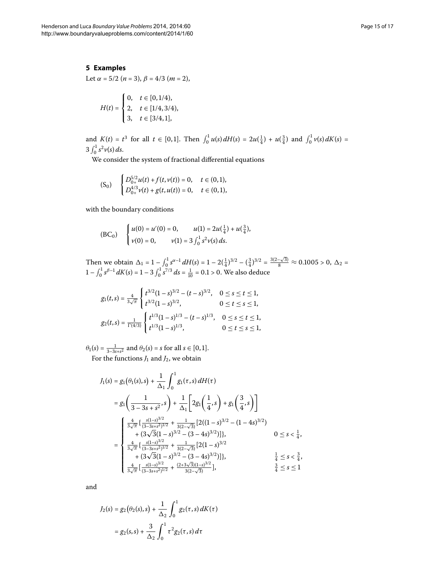# <span id="page-14-0"></span>**5 Examples**

Let  $\alpha = 5/2$  ( $n = 3$ ),  $\beta = 4/3$  ( $m = 2$ ),

$$
H(t) = \begin{cases} 0, & t \in [0, 1/4), \\ 2, & t \in [1/4, 3/4), \\ 3, & t \in [3/4, 1], \end{cases}
$$

and  $K(t) = t^3$  for all  $t \in [0, 1]$ . Then  $\int_0^1 u(s) dH(s) = 2u(\frac{1}{4}) + u(\frac{3}{4})$  and  $\int_0^1 v(s) dK(s) =$  $3 \int_0^1 s^2 v(s) ds.$ 

We consider the system of fractional differential equations

$$
(S_0) \quad \begin{cases} D_{0+}^{5/2}u(t) + f(t,v(t)) = 0, & t \in (0,1), \\ D_{0+}^{4/3}v(t) + g(t,u(t)) = 0, & t \in (0,1), \end{cases}
$$

with the boundary conditions

$$
(BC0) \begin{cases} u(0) = u'(0) = 0, & u(1) = 2u(\frac{1}{4}) + u(\frac{3}{4}), \\ v(0) = 0, & v(1) = 3 \int_0^1 s^2 v(s) ds. \end{cases}
$$

Then we obtain  $\Delta_1 = 1 - \int_0^1 s^{\alpha-1} dH(s) = 1 - 2(\frac{1}{4})^{3/2} - (\frac{3}{4})^{3/2} = \frac{3(2-\sqrt{3})}{8} \approx 0.1005 > 0, \Delta_2 =$  $1 - \int_0^1 s^{\beta - 1} dK(s) = 1 - 3 \int_0^1 s^{7/3} ds = \frac{1}{10} = 0.1 > 0$ . We also deduce

$$
g_1(t,s) = \frac{4}{3\sqrt{\pi}} \begin{cases} t^{3/2}(1-s)^{3/2} - (t-s)^{3/2}, & 0 \le s \le t \le 1, \\ t^{3/2}(1-s)^{3/2}, & 0 \le t \le s \le 1, \\ t^{3/2}(1-s)^{1/3} - (t-s)^{1/3}, & 0 \le s \le t \le 1, \\ t^{1/3}(1-s)^{1/3}, & 0 \le t \le s \le 1, \end{cases}
$$

 $\theta_1(s) = \frac{1}{3-3s+s^2}$  and  $\theta_2(s) = s$  for all  $s \in [0,1]$ . For the functions  $J_1$  and  $J_2$ , we obtain

$$
J_{1}(s) = g_{1}(\theta_{1}(s), s) + \frac{1}{\Delta_{1}} \int_{0}^{1} g_{1}(\tau, s) dH(\tau)
$$
  
\n
$$
= g_{1}\left(\frac{1}{3 - 3s + s^{2}}, s\right) + \frac{1}{\Delta_{1}} \left[2g_{1}\left(\frac{1}{4}, s\right) + g_{1}\left(\frac{3}{4}, s\right)\right]
$$
  
\n
$$
= \begin{cases} \frac{4}{3\sqrt{\pi}} \left\{\frac{s(1-s)^{3/2}}{(3 - 3s + s^{2})^{1/2}} + \frac{1}{3(2 - \sqrt{3})} \left[2((1 - s)^{3/2} - (1 - 4s)^{3/2})\right. \\ \left. + (3\sqrt{3}(1 - s)^{3/2} - (3 - 4s)^{3/2})\right]\right\}, & 0 \le s < \frac{1}{4}, \\ \frac{4}{3\sqrt{\pi}} \left\{\frac{s(1-s)^{3/2}}{(3 - 3s + s^{2})^{1/2}} + \frac{1}{3(2 - \sqrt{3})} \left[2(1 - s)^{3/2} + (3\sqrt{3}(1 - s)^{3/2} - (3 - 4s)^{3/2})\right]\right\}, & \frac{1}{4} \le s < \frac{3}{4}, \\ \frac{4}{3\sqrt{\pi}} \left[\frac{s(1-s)^{3/2}}{(3 - 3s + s^{2})^{1/2}} + \frac{(2 + 3\sqrt{3})(1 - s)^{3/2}}{3(2 - \sqrt{3})}\right], & \frac{3}{4} \le s \le 1 \end{cases}
$$

and

$$
J_2(s) = g_2(\theta_2(s), s) + \frac{1}{\Delta_2} \int_0^1 g_2(\tau, s) dK(\tau)
$$
  
=  $g_2(s, s) + \frac{3}{\Delta_2} \int_0^1 \tau^2 g_2(\tau, s) d\tau$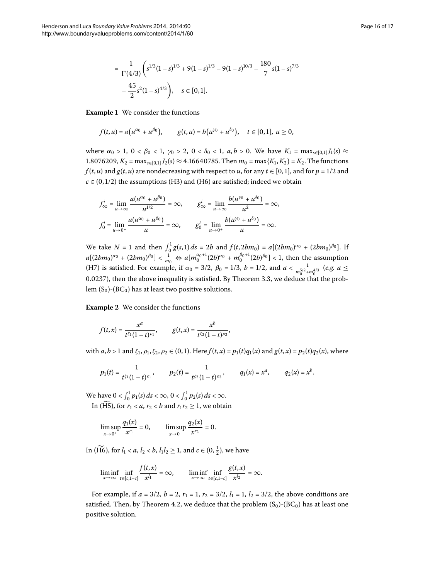$$
= \frac{1}{\Gamma(4/3)} \left( s^{1/3} (1-s)^{1/3} + 9(1-s)^{1/3} - 9(1-s)^{10/3} - \frac{180}{7} s (1-s)^{7/3} - \frac{45}{2} s^2 (1-s)^{4/3} \right), \quad s \in [0,1].
$$

**Example 1** We consider the functions

$$
f(t, u) = a(u^{\alpha_0} + u^{\beta_0}), \qquad g(t, u) = b(u^{\gamma_0} + u^{\delta_0}), \quad t \in [0, 1], \ u \ge 0,
$$

where  $\alpha_0 > 1$ ,  $0 < \beta_0 < 1$ ,  $\gamma_0 > 2$ ,  $0 < \delta_0 < 1$ ,  $a, b > 0$ . We have  $K_1 = \max_{s \in [0,1]} J_1(s) \approx$ 1.8076209,  $K_2$  = max<sub>*s*∈[0,1]</sub>  $J_2$ (*s*) ≈ 4.16640785. Then  $m_0$  = max{ $K_1$ ,  $K_2$ } =  $K_2$ . The functions *f* (*t*, *u*) and *g*(*t*, *u*) are nondecreasing with respect to *u*, for any  $t \in [0,1]$ , and for  $p = 1/2$  and  $c \in (0, 1/2)$  the assumptions (H3) and (H6) are satisfied; indeed we obtain

$$
f_{\infty}^{i} = \lim_{u \to \infty} \frac{a(u^{\alpha_{0}} + u^{\beta_{0}})}{u^{1/2}} = \infty, \qquad g_{\infty}^{i} = \lim_{u \to \infty} \frac{b(u^{\gamma_{0}} + u^{\delta_{0}})}{u^{2}} = \infty,
$$
  

$$
f_{0}^{i} = \lim_{u \to 0^{+}} \frac{a(u^{\alpha_{0}} + u^{\beta_{0}})}{u} = \infty, \qquad g_{0}^{i} = \lim_{u \to 0^{+}} \frac{b(u^{\gamma_{0}} + u^{\delta_{0}})}{u} = \infty.
$$

We take  $N = 1$  and then  $\int_0^1 g(s, 1) ds = 2b$  and  $f(t, 2bm_0) = a[(2bm_0)^{\alpha_0} + (2bm_0)^{\beta_0}]$ . If  $a[(2bm_0)^{\alpha_0} + (2bm_0)^{\beta_0}] < \frac{1}{m_0} \Leftrightarrow a[m_0^{\alpha_0+1}(2b)^{\alpha_0} + m_0^{\beta_0+1}(2b)^{\beta_0}] < 1$ , then the assumption (H7) is satisfied. For example, if  $\alpha_0 = 3/2$ ,  $\beta_0 = 1/3$ ,  $b = 1/2$ , and  $a < \frac{1}{m_0^{5/2} + m_0^{4/3}}$  (*e.g.*  $a \le$ 0.0237), then the above inequality is satisfied. By Theorem 3.3, we deduce that the problem  $(S_0)$ - $(BC_0)$  has at least two positive solutions.

**Example 2** We consider the functions

$$
f(t,x)=\frac{x^a}{t^{\zeta_1}(1-t)^{\rho_1}},\qquad g(t,x)=\frac{x^b}{t^{\zeta_2}(1-t)^{\rho_2}},
$$

with  $a, b > 1$  and  $\zeta_1, \rho_1, \zeta_2, \rho_2 \in (0, 1)$ . Here  $f(t, x) = p_1(t)q_1(x)$  and  $g(t, x) = p_2(t)q_2(x)$ , where

$$
p_1(t) = \frac{1}{t^{\zeta_1}(1-t)^{\rho_1}},
$$
  $p_2(t) = \frac{1}{t^{\zeta_2}(1-t)^{\rho_2}},$   $q_1(x) = x^a,$   $q_2(x) = x^b.$ 

We have  $0 < \int_0^1 p_1(s) ds < \infty$ ,  $0 < \int_0^1 p_2(s) ds < \infty$ .

In ( $\widetilde{H5}$ ), for  $r_1 < a, r_2 < b$  and  $r_1r_2 \geq 1$ , we obtain

$$
\limsup_{x\to 0^+} \frac{q_1(x)}{x^{r_1}} = 0, \qquad \limsup_{x\to 0^+} \frac{q_2(x)}{x^{r_2}} = 0.
$$

In (H6), for  $l_1 < a$ ,  $l_2 < b$ ,  $l_1 l_2 \ge 1$ , and  $c \in (0, \frac{1}{2})$ , we have

$$
\liminf_{x \to \infty} \inf_{t \in [c, 1-c]} \frac{f(t, x)}{x^{l_1}} = \infty, \qquad \liminf_{x \to \infty} \inf_{t \in [c, 1-c]} \frac{g(t, x)}{x^{l_2}} = \infty.
$$

For example, if  $a = 3/2$ ,  $b = 2$ ,  $r_1 = 1$ ,  $r_2 = 3/2$ ,  $l_1 = 1$ ,  $l_2 = 3/2$ , the above conditions are satisfied[.](#page-13-2) Then, by Theorem 4.2, we deduce that the problem  $(S_0)$ - $(BC_0)$  has at least one positive solution.